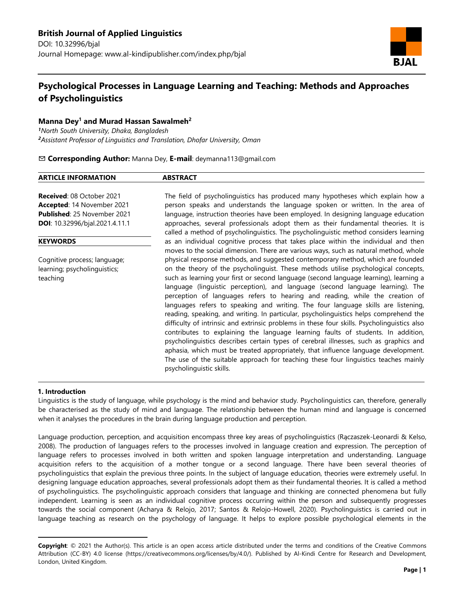

# **Psychological Processes in Language Learning and Teaching: Methods and Approaches of Psycholinguistics**

# **Manna Dey<sup>1</sup> and Murad Hassan Sawalmeh<sup>2</sup>**

*<sup>1</sup>North South University, Dhaka, Bangladesh <sup>2</sup>Assistant Professor of Linguistics and Translation, Dhofar University, Oman*

# ✉ **Corresponding Author:** Manna Dey, **E-mail**: deymanna113@gmail.com

#### **ARTICLE INFORMATION ABSTRACT Received**: 08 October 2021 **Accepted**: 14 November 2021 **Published**: 25 November 2021 **DOI**: 10.32996/bjal.2021.4.11.1 The field of psycholinguistics has produced many hypotheses which explain how a person speaks and understands the language spoken or written. In the area of language, instruction theories have been employed. In designing language education approaches, several professionals adopt them as their fundamental theories. It is called a method of psycholinguistics. The psycholinguistic method considers learning as an individual cognitive process that takes place within the individual and then moves to the social dimension. There are various ways, such as natural method, whole physical response methods, and suggested contemporary method, which are founded on the theory of the psycholinguist. These methods utilise psychological concepts, such as learning your first or second language (second language learning), learning a **KEYWORDS** Cognitive process; language; learning; psycholinguistics;

language (linguistic perception), and language (second language learning). The perception of languages refers to hearing and reading, while the creation of languages refers to speaking and writing. The four language skills are listening, reading, speaking, and writing. In particular, psycholinguistics helps comprehend the difficulty of intrinsic and extrinsic problems in these four skills. Psycholinguistics also contributes to explaining the language learning faults of students. In addition, psycholinguistics describes certain types of cerebral illnesses, such as graphics and aphasia, which must be treated appropriately, that influence language development. The use of the suitable approach for teaching these four linguistics teaches mainly

#### **1. Introduction**

 $\overline{a}$ 

teaching

Linguistics is the study of language, while psychology is the mind and behavior study. Psycholinguistics can, therefore, generally be characterised as the study of mind and language. The relationship between the human mind and language is concerned when it analyses the procedures in the brain during language production and perception.

psycholinguistic skills.

Language production, perception, and acquisition encompass three key areas of psycholinguistics (Rączaszek-Leonardi & Kelso, 2008). The production of languages refers to the processes involved in language creation and expression. The perception of language refers to processes involved in both written and spoken language interpretation and understanding. Language acquisition refers to the acquisition of a mother tongue or a second language. There have been several theories of psycholinguistics that explain the previous three points. In the subject of language education, theories were extremely useful. In designing language education approaches, several professionals adopt them as their fundamental theories. It is called a method of psycholinguistics. The psycholinguistic approach considers that language and thinking are connected phenomena but fully independent. Learning is seen as an individual cognitive process occurring within the person and subsequently progresses towards the social component (Acharya & Relojo, 2017; Santos & Relojo-Howell, 2020). Psycholinguistics is carried out in language teaching as research on the psychology of language. It helps to explore possible psychological elements in the

**Copyright**: © 2021 the Author(s). This article is an open access article distributed under the terms and conditions of the Creative Commons Attribution (CC-BY) 4.0 license (https://creativecommons.org/licenses/by/4.0/). Published by Al-Kindi Centre for Research and Development, London, United Kingdom.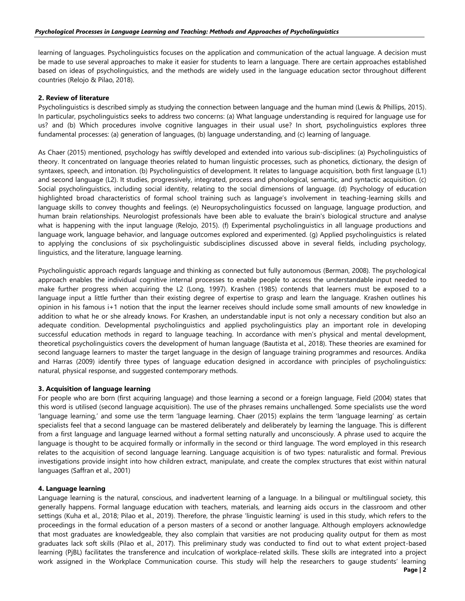learning of languages. Psycholinguistics focuses on the application and communication of the actual language. A decision must be made to use several approaches to make it easier for students to learn a language. There are certain approaches established based on ideas of psycholinguistics, and the methods are widely used in the language education sector throughout different countries (Relojo & Pilao, 2018).

# **2. Review of literature**

Psycholinguistics is described simply as studying the connection between language and the human mind (Lewis & Phillips, 2015). In particular, psycholinguistics seeks to address two concerns: (a) What language understanding is required for language use for us? and (b) Which procedures involve cognitive languages in their usual use? In short, psycholinguistics explores three fundamental processes: (a) generation of languages, (b) language understanding, and (c) learning of language.

As Chaer (2015) mentioned, psychology has swiftly developed and extended into various sub-disciplines: (a) Psycholinguistics of theory. It concentrated on language theories related to human linguistic processes, such as phonetics, dictionary, the design of syntaxes, speech, and intonation. (b) Psycholinguistics of development. It relates to language acquisition, both first language (L1) and second language (L2). It studies, progressively, integrated, process and phonological, semantic, and syntactic acquisition. (c) Social psycholinguistics, including social identity, relating to the social dimensions of language. (d) Psychology of education highlighted broad characteristics of formal school training such as language's involvement in teaching-learning skills and language skills to convey thoughts and feelings. (e) Neuropsycholinguistics focussed on language, language production, and human brain relationships. Neurologist professionals have been able to evaluate the brain's biological structure and analyse what is happening with the input language (Relojo, 2015). (f) Experimental psycholinguistics in all language productions and language work, language behavior, and language outcomes explored and experimented. (g) Applied psycholinguistics is related to applying the conclusions of six psycholinguistic subdisciplines discussed above in several fields, including psychology, linguistics, and the literature, language learning.

Psycholinguistic approach regards language and thinking as connected but fully autonomous (Berman, 2008). The psychological approach enables the individual cognitive internal processes to enable people to access the understandable input needed to make further progress when acquiring the L2 (Long, 1997). Krashen (1985) contends that learners must be exposed to a language input a little further than their existing degree of expertise to grasp and learn the language. Krashen outlines his opinion in his famous i+1 notion that the input the learner receives should include some small amounts of new knowledge in addition to what he or she already knows. For Krashen, an understandable input is not only a necessary condition but also an adequate condition. Developmental psycholinguistics and applied psycholinguistics play an important role in developing successful education methods in regard to language teaching. In accordance with men's physical and mental development, theoretical psycholinguistics covers the development of human language (Bautista et al., 2018). These theories are examined for second language learners to master the target language in the design of language training programmes and resources. Andika and Harras (2009) identify three types of language education designed in accordance with principles of psycholinguistics: natural, physical response, and suggested contemporary methods.

# **3. Acquisition of language learning**

For people who are born (first acquiring language) and those learning a second or a foreign language, Field (2004) states that this word is utilised (second language acquisition). The use of the phrases remains unchallenged. Some specialists use the word 'language learning,' and some use the term 'language learning. Chaer (2015) explains the term 'language learning' as certain specialists feel that a second language can be mastered deliberately and deliberately by learning the language. This is different from a first language and language learned without a formal setting naturally and unconsciously. A phrase used to acquire the language is thought to be acquired formally or informally in the second or third language. The word employed in this research relates to the acquisition of second language learning. Language acquisition is of two types: naturalistic and formal. Previous investigations provide insight into how children extract, manipulate, and create the complex structures that exist within natural languages (Saffran et al., 2001)

# **4. Language learning**

Language learning is the natural, conscious, and inadvertent learning of a language. In a bilingual or multilingual society, this generally happens. Formal language education with teachers, materials, and learning aids occurs in the classroom and other settings (Kuha et al., 2018; Pilao et al., 2019). Therefore, the phrase 'linguistic learning' is used in this study, which refers to the proceedings in the formal education of a person masters of a second or another language. Although employers acknowledge that most graduates are knowledgeable, they also complain that varsities are not producing quality output for them as most graduates lack soft skills (Pilao et al., 2017). This preliminary study was conducted to find out to what extent project-based learning (PjBL) facilitates the transference and inculcation of workplace-related skills. These skills are integrated into a project work assigned in the Workplace Communication course. This study will help the researchers to gauge students' learning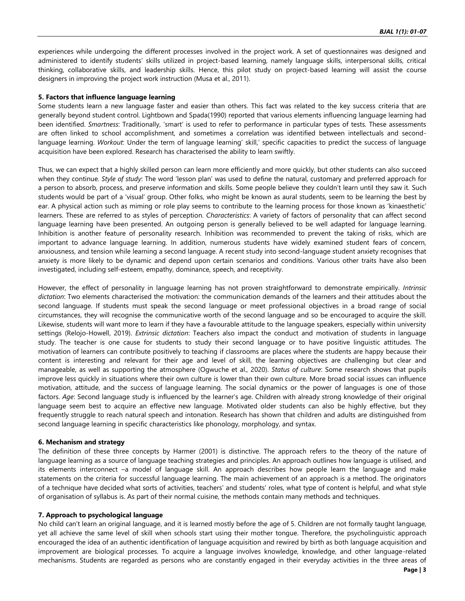experiences while undergoing the different processes involved in the project work. A set of questionnaires was designed and administered to identify students' skills utilized in project-based learning, namely language skills, interpersonal skills, critical thinking, collaborative skills, and leadership skills. Hence, this pilot study on project-based learning will assist the course designers in improving the project work instruction (Musa et al., 2011).

### **5. Factors that influence language learning**

Some students learn a new language faster and easier than others. This fact was related to the key success criteria that are generally beyond student control. Lightbown and Spada(1990) reported that various elements influencing language learning had been identified. *Smartness*: Traditionally, 'smart' is used to refer to performance in particular types of tests. These assessments are often linked to school accomplishment, and sometimes a correlation was identified between intellectuals and secondlanguage learning. *Workout*: Under the term of language learning' skill,' specific capacities to predict the success of language acquisition have been explored. Research has characterised the ability to learn swiftly.

Thus, we can expect that a highly skilled person can learn more efficiently and more quickly, but other students can also succeed when they continue. *Style of study*: The word 'lesson plan' was used to define the natural, customary and preferred approach for a person to absorb, process, and preserve information and skills. Some people believe they couldn't learn until they saw it. Such students would be part of a 'visual' group. Other folks, who might be known as aural students, seem to be learning the best by ear. A physical action such as miming or role play seems to contribute to the learning process for those known as 'kinaesthetic' learners. These are referred to as styles of perception. *Characteristics*: A variety of factors of personality that can affect second language learning have been presented. An outgoing person is generally believed to be well adapted for language learning. Inhibition is another feature of personality research. Inhibition was recommended to prevent the taking of risks, which are important to advance language learning. In addition, numerous students have widely examined student fears of concern, anxiousness, and tension while learning a second language. A recent study into second-language student anxiety recognises that anxiety is more likely to be dynamic and depend upon certain scenarios and conditions. Various other traits have also been investigated, including self-esteem, empathy, dominance, speech, and receptivity.

However, the effect of personality in language learning has not proven straightforward to demonstrate empirically. *Intrinsic dictation*: Two elements characterised the motivation: the communication demands of the learners and their attitudes about the second language. If students must speak the second language or meet professional objectives in a broad range of social circumstances, they will recognise the communicative worth of the second language and so be encouraged to acquire the skill. Likewise, students will want more to learn if they have a favourable attitude to the language speakers, especially within university settings (Relojo-Howell, 2019). *Extrinsic dictation*: Teachers also impact the conduct and motivation of students in language study. The teacher is one cause for students to study their second language or to have positive linguistic attitudes. The motivation of learners can contribute positively to teaching if classrooms are places where the students are happy because their content is interesting and relevant for their age and level of skill, the learning objectives are challenging but clear and manageable, as well as supporting the atmosphere (Ogwuche et al., 2020). *Status of culture*: Some research shows that pupils improve less quickly in situations where their own culture is lower than their own culture. More broad social issues can influence motivation, attitude, and the success of language learning. The social dynamics or the power of languages is one of those factors. *Age*: Second language study is influenced by the learner's age. Children with already strong knowledge of their original language seem best to acquire an effective new language. Motivated older students can also be highly effective, but they frequently struggle to reach natural speech and intonation. Research has shown that children and adults are distinguished from second language learning in specific characteristics like phonology, morphology, and syntax.

#### **6. Mechanism and strategy**

The definition of these three concepts by Harmer (2001) is distinctive. The approach refers to the theory of the nature of language learning as a source of language teaching strategies and principles. An approach outlines how language is utilised, and its elements interconnect –a model of language skill. An approach describes how people learn the language and make statements on the criteria for successful language learning. The main achievement of an approach is a method. The originators of a technique have decided what sorts of activities, teachers' and students' roles, what type of content is helpful, and what style of organisation of syllabus is. As part of their normal cuisine, the methods contain many methods and techniques.

#### **7. Approach to psychological language**

No child can't learn an original language, and it is learned mostly before the age of 5. Children are not formally taught language, yet all achieve the same level of skill when schools start using their mother tongue. Therefore, the psycholinguistic approach encouraged the idea of an authentic identification of language acquisition and rewired by birth as both language acquisition and improvement are biological processes. To acquire a language involves knowledge, knowledge, and other language-related mechanisms. Students are regarded as persons who are constantly engaged in their everyday activities in the three areas of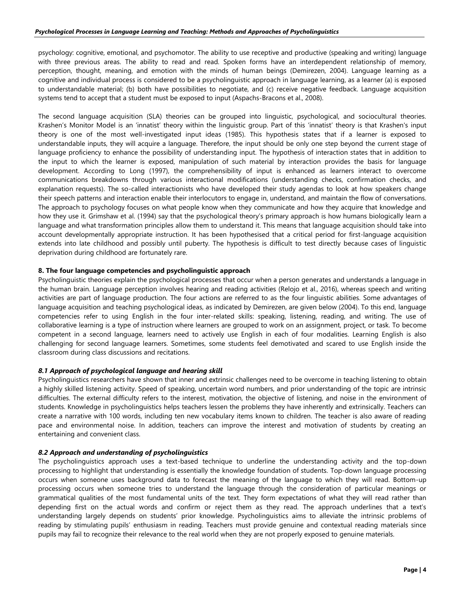psychology: cognitive, emotional, and psychomotor. The ability to use receptive and productive (speaking and writing) language with three previous areas. The ability to read and read. Spoken forms have an interdependent relationship of memory, perception, thought, meaning, and emotion with the minds of human beings (Demirezen, 2004). Language learning as a cognitive and individual process is considered to be a psycholinguistic approach in language learning, as a learner (a) is exposed to understandable material; (b) both have possibilities to negotiate, and (c) receive negative feedback. Language acquisition systems tend to accept that a student must be exposed to input (Aspachs-Bracons et al., 2008).

The second language acquisition (SLA) theories can be grouped into linguistic, psychological, and sociocultural theories. Krashen's Monitor Model is an 'innatist' theory within the linguistic group. Part of this 'innatist' theory is that Krashen's input theory is one of the most well-investigated input ideas (1985). This hypothesis states that if a learner is exposed to understandable inputs, they will acquire a language. Therefore, the input should be only one step beyond the current stage of language proficiency to enhance the possibility of understanding input. The hypothesis of interaction states that in addition to the input to which the learner is exposed, manipulation of such material by interaction provides the basis for language development. According to Long (1997), the comprehensibility of input is enhanced as learners interact to overcome communications breakdowns through various interactional modifications (understanding checks, confirmation checks, and explanation requests). The so-called interactionists who have developed their study agendas to look at how speakers change their speech patterns and interaction enable their interlocutors to engage in, understand, and maintain the flow of conversations. The approach to psychology focuses on what people know when they communicate and how they acquire that knowledge and how they use it. Grimshaw et al. (1994) say that the psychological theory's primary approach is how humans biologically learn a language and what transformation principles allow them to understand it. This means that language acquisition should take into account developmentally appropriate instruction. It has been hypothesised that a critical period for first-language acquisition extends into late childhood and possibly until puberty. The hypothesis is difficult to test directly because cases of linguistic deprivation during childhood are fortunately rare.

# **8. The four language competencies and psycholinguistic approach**

Psycholinguistic theories explain the psychological processes that occur when a person generates and understands a language in the human brain. Language perception involves hearing and reading activities (Relojo et al., 2016), whereas speech and writing activities are part of language production. The four actions are referred to as the four linguistic abilities. Some advantages of language acquisition and teaching psychological ideas, as indicated by Demirezen, are given below (2004). To this end, language competencies refer to using English in the four inter-related skills: speaking, listening, reading, and writing. The use of collaborative learning is a type of instruction where learners are grouped to work on an assignment, project, or task. To become competent in a second language, learners need to actively use English in each of four modalities. Learning English is also challenging for second language learners. Sometimes, some students feel demotivated and scared to use English inside the classroom during class discussions and recitations.

# *8.1 Approach of psychological language and hearing skill*

Psycholinguistics researchers have shown that inner and extrinsic challenges need to be overcome in teaching listening to obtain a highly skilled listening activity. Speed of speaking, uncertain word numbers, and prior understanding of the topic are intrinsic difficulties. The external difficulty refers to the interest, motivation, the objective of listening, and noise in the environment of students. Knowledge in psycholinguistics helps teachers lessen the problems they have inherently and extrinsically. Teachers can create a narrative with 100 words, including ten new vocabulary items known to children. The teacher is also aware of reading pace and environmental noise. In addition, teachers can improve the interest and motivation of students by creating an entertaining and convenient class.

#### *8.2 Approach and understanding of psycholinguistics*

The psycholinguistics approach uses a text-based technique to underline the understanding activity and the top-down processing to highlight that understanding is essentially the knowledge foundation of students. Top-down language processing occurs when someone uses background data to forecast the meaning of the language to which they will read. Bottom-up processing occurs when someone tries to understand the language through the consideration of particular meanings or grammatical qualities of the most fundamental units of the text. They form expectations of what they will read rather than depending first on the actual words and confirm or reject them as they read. The approach underlines that a text's understanding largely depends on students' prior knowledge. Psycholinguistics aims to alleviate the intrinsic problems of reading by stimulating pupils' enthusiasm in reading. Teachers must provide genuine and contextual reading materials since pupils may fail to recognize their relevance to the real world when they are not properly exposed to genuine materials.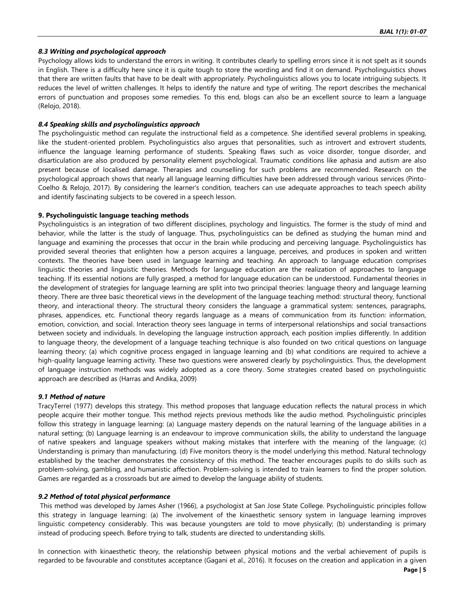### *8.3 Writing and psychological approach*

Psychology allows kids to understand the errors in writing. It contributes clearly to spelling errors since it is not spelt as it sounds in English. There is a difficulty here since it is quite tough to store the wording and find it on demand. Psycholinguistics shows that there are written faults that have to be dealt with appropriately. Psycholinguistics allows you to locate intriguing subjects. It reduces the level of written challenges. It helps to identify the nature and type of writing. The report describes the mechanical errors of punctuation and proposes some remedies. To this end, blogs can also be an excellent source to learn a language (Relojo, 2018).

# *8.4 Speaking skills and psycholinguistics approach*

The psycholinguistic method can regulate the instructional field as a competence. She identified several problems in speaking, like the student-oriented problem. Psycholinguistics also argues that personalities, such as introvert and extrovert students, influence the language learning performance of students. Speaking flaws such as voice disorder, tongue disorder, and disarticulation are also produced by personality element psychological. Traumatic conditions like aphasia and autism are also present because of localised damage. Therapies and counselling for such problems are recommended. Research on the psychological approach shows that nearly all language learning difficulties have been addressed through various services (Pinto-Coelho & Relojo, 2017). By considering the learner's condition, teachers can use adequate approaches to teach speech ability and identify fascinating subjects to be covered in a speech lesson.

#### **9. Psycholinguistic language teaching methods**

Psycholinguistics is an integration of two different disciplines, psychology and linguistics. The former is the study of mind and behavior, while the latter is the study of language. Thus, psycholinguistics can be defined as studying the human mind and language and examining the processes that occur in the brain while producing and perceiving language. Psycholinguistics has provided several theories that enlighten how a person acquires a language, perceives, and produces in spoken and written contexts. The theories have been used in language learning and teaching. An approach to language education comprises linguistic theories and linguistic theories. Methods for language education are the realization of approaches to language teaching. If its essential notions are fully grasped, a method for language education can be understood. Fundamental theories in the development of strategies for language learning are split into two principal theories: language theory and language learning theory. There are three basic theoretical views in the development of the language teaching method: structural theory, functional theory, and interactional theory. The structural theory considers the language a grammatical system: sentences, paragraphs, phrases, appendices, etc. Functional theory regards language as a means of communication from its function: information, emotion, conviction, and social. Interaction theory sees language in terms of interpersonal relationships and social transactions between society and individuals. In developing the language instruction approach, each position implies differently. In addition to language theory, the development of a language teaching technique is also founded on two critical questions on language learning theory; (a) which cognitive process engaged in language learning and (b) what conditions are required to achieve a high-quality language learning activity. These two questions were answered clearly by psycholinguistics. Thus, the development of language instruction methods was widely adopted as a core theory. Some strategies created based on psycholinguistic approach are described as (Harras and Andika, 2009)

#### *9.1 Method of nature*

TracyTerrel (1977) develops this strategy. This method proposes that language education reflects the natural process in which people acquire their mother tongue. This method rejects previous methods like the audio method. Psycholinguistic principles follow this strategy in language learning: (a) Language mastery depends on the natural learning of the language abilities in a natural setting; (b) Language learning is an endeavour to improve communication skills, the ability to understand the language of native speakers and language speakers without making mistakes that interfere with the meaning of the language; (c) Understanding is primary than manufacturing. (d) Five monitors theory is the model underlying this method. Natural technology established by the teacher demonstrates the consistency of this method. The teacher encourages pupils to do skills such as problem-solving, gambling, and humanistic affection. Problem-solving is intended to train learners to find the proper solution. Games are regarded as a crossroads but are aimed to develop the language ability of students.

# *9.2 Method of total physical performance*

This method was developed by James Asher (1966), a psychologist at San Jose State College. Psycholinguistic principles follow this strategy in language learning: (a) The involvement of the kinaesthetic sensory system in language learning improves linguistic competency considerably. This was because youngsters are told to move physically; (b) understanding is primary instead of producing speech. Before trying to talk, students are directed to understanding skills.

In connection with kinaesthetic theory, the relationship between physical motions and the verbal achievement of pupils is regarded to be favourable and constitutes acceptance (Gagani et al., 2016). It focuses on the creation and application in a given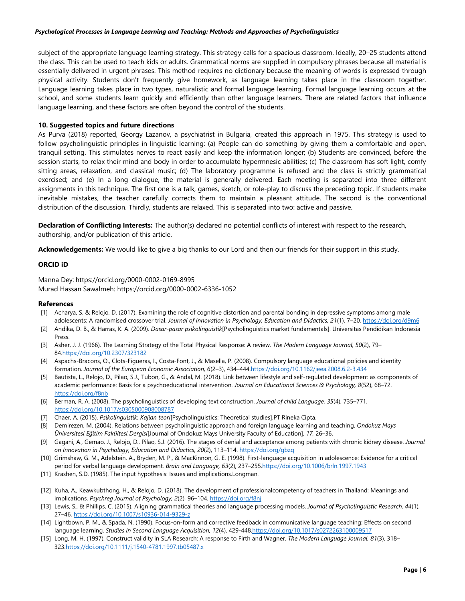subject of the appropriate language learning strategy. This strategy calls for a spacious classroom. Ideally, 20–25 students attend the class. This can be used to teach kids or adults. Grammatical norms are supplied in compulsory phrases because all material is essentially delivered in urgent phrases. This method requires no dictionary because the meaning of words is expressed through physical activity. Students don't frequently give homework, as language learning takes place in the classroom together. Language learning takes place in two types, naturalistic and formal language learning. Formal language learning occurs at the school, and some students learn quickly and efficiently than other language learners. There are related factors that influence language learning, and these factors are often beyond the control of the students.

# **10. Suggested topics and future directions**

As Purva (2018) reported, Georgy Lazanov, a psychiatrist in Bulgaria, created this approach in 1975. This strategy is used to follow psycholinguistic principles in linguistic learning: (a) People can do something by giving them a comfortable and open, tranquil setting. This stimulates nerves to react easily and keep the information longer; (b) Students are convinced, before the session starts, to relax their mind and body in order to accumulate hypermnesic abilities; (c) The classroom has soft light, comfy sitting areas, relaxation, and classical music; (d) The laboratory programme is refused and the class is strictly grammatical exercised; and (e) In a long dialogue, the material is generally delivered. Each meeting is separated into three different assignments in this technique. The first one is a talk, games, sketch, or role-play to discuss the preceding topic. If students make inevitable mistakes, the teacher carefully corrects them to maintain a pleasant attitude. The second is the conventional distribution of the discussion. Thirdly, students are relaxed. This is separated into two: active and passive.

**Declaration of Conflicting Interests:** The author(s) declared no potential conflicts of interest with respect to the research, authorship, and/or publication of this article.

**Acknowledgements:** We would like to give a big thanks to our Lord and then our friends for their support in this study.

#### **ORCID iD**

Manna Dey: https://orcid.org/0000-0002-0169-8995 Murad Hassan Sawalmeh: https://orcid.org/0000-0002-6336-1052

#### **References**

- [1] Acharya, S. & Relojo, D. (2017). Examining the role of cognitive distortion and parental bonding in depressive symptoms among male adolescents: A randomised crossover trial. *Journal of Innovation in Psychology, Education and Didactics, 21*(1), 7-20[. https://doi.org/d9m6](https://doi.org/d9m6)
- [2] Andika, D. B., & Harras, K. A. (2009). *Dasar-pasar psikolinguistik*[Psycholinguistics market fundamentals]. Universitas Pendidikan Indonesia Press.
- [3] Asher, J. J. (1966). The Learning Strategy of the Total Physical Response: A review. *The Modern Language Journal, 50*(2), 79– 8[4.https://doi.org/10.2307/323182](https://doi.org/10.2307/323182)
- [4] Aspachs-Bracons, O., Clots-Figueras, I., Costa-Font, J., & Masella, P. (2008). Compulsory language educational policies and identity formation. *Journal of the European Economic Association, 6*(2–3), 434–44[4.https://doi.org/10.1162/jeea.2008.6.2-3.434](https://doi.org/10.1162/jeea.2008.6.2-3.434)
- [5] Bautista, L., Relojo, D., Pilao, S.J., Tubon, G., & Andal, M. (2018). Link between lifestyle and self-regulated development as components of academic performance: Basis for a psychoeducational intervention. *Journal on Educational Sciences & Psychology, 8*(52), 68–72. <https://doi.org/f8nb>
- [6] Berman, R. A. (2008). The psycholinguistics of developing text construction. *Journal of child Language, 35*(4), 735–771. <https://doi.org/10.1017/s0305000908008787>
- [7] Chaer, A. (2015). *Psikolinguistik: Kajian teori*[Psycholinguistics: Theoretical studies].PT Rineka Cipta.
- [8] Demirezen, M. (2004). Relations between psycholinguistic approach and foreign language learning and teaching. *Ondokuz Mays Üniversitesi Eğitim Fakültesi Dergisi*[Journal of Ondokuz Mays University Faculty of Education]*, 17,* 26–36.
- [9] Gagani, A., Gemao, J., Relojo, D., Pilao, S.J. (2016). The stages of denial and acceptance among patients with chronic kidney disease. *Journal on Innovation in Psychology, Education and Didactics, 20*(2), 113–114[. https://doi.org/gbzq](https://doi.org/gbzq)
- [10] Grimshaw, G. M., Adelstein, A., Bryden, M. P., & MacKinnon, G. E. (1998). First-language acquisition in adolescence: Evidence for a critical period for verbal language development*. Brain and Language, 63*(2), 237–25[5.https://doi.org/10.1006/brln.1997.1943](https://doi.org/10.1006/brln.1997.1943)
- [11] Krashen, S.D. (1985). The input hypothesis: Issues and implications.Longman.
- [12] Kuha, A., Keawkubthong, H., & Relojo, D. (2018). The development of professionalcompetency of teachers in Thailand: Meanings and implications. *Psychreg Journal of Psychology, 2*(2), 96–104[. https://doi.org/f8nj](https://doi.org/f8nj)
- [13] Lewis, S., & Phillips, C. (2015). Aligning grammatical theories and language processing models. *Journal of Psycholinguistic Research, 44*(1), 27–46.<https://doi.org/10.1007/s10936-014-9329-z>
- [14] Lightbown, P. M., & Spada, N. (1990). Focus-on-form and corrective feedback in communicative language teaching: Effects on second language learning. *Studies in Second Language Acquisition, 12*(4), 429-44[8.https://doi.org/10.1017/s0272263100009517](https://doi.org/10.1017/s0272263100009517)
- [15] Long, M. H. (1997). Construct validity in SLA Research: A response to Firth and Wagner. *The Modern Language Journal, 81*(3), 318– 32[3.https://doi.org/10.1111/j.1540-4781.1997.tb05487.x](https://doi.org/10.1111/j.1540-4781.1997.tb05487.x)